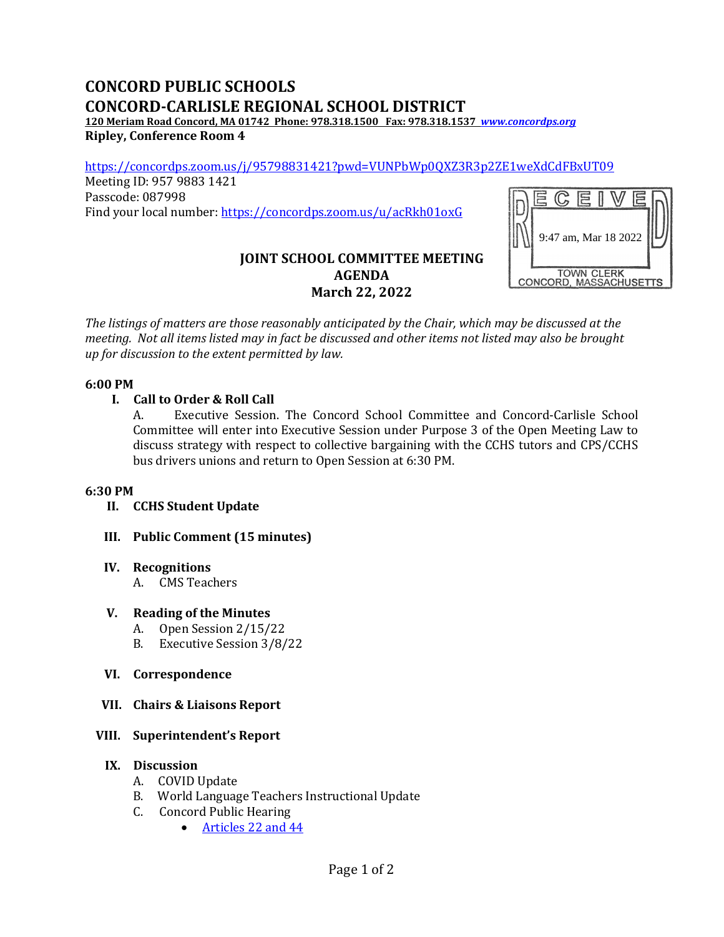# **CONCORD PUBLIC SCHOOLS CONCORD-CARLISLE REGIONAL SCHOOL DISTRICT**

**120 Meriam Road Concord, MA 01742 Phone: 978.318.1500 Fax: 978.318.1537** *[www.concordps.org](http://www.concordps.org/)* **Ripley, Conference Room 4**

<https://concordps.zoom.us/j/95798831421?pwd=VUNPbWp0QXZ3R3p2ZE1weXdCdFBxUT09>

Meeting ID: 957 9883 1421 Passcode: 087998 Find your local number:<https://concordps.zoom.us/u/acRkh01oxG>



## **JOINT SCHOOL COMMITTEE MEETING AGENDA March 22, 2022**

*The listings of matters are those reasonably anticipated by the Chair, which may be discussed at the meeting. Not all items listed may in fact be discussed and other items not listed may also be brought up for discussion to the extent permitted by law.*

#### **6:00 PM**

#### **I. Call to Order & Roll Call**

A. Executive Session. The Concord School Committee and Concord-Carlisle School Committee will enter into Executive Session under Purpose 3 of the Open Meeting Law to discuss strategy with respect to collective bargaining with the CCHS tutors and CPS/CCHS bus drivers unions and return to Open Session at 6:30 PM.

#### **6:30 PM**

- **II. CCHS Student Update**
- **III. Public Comment (15 minutes)**

#### **IV. Recognitions**

A. CMS Teachers

#### **V. Reading of the Minutes**

- A. Open Session 2/15/22
- B. Executive Session 3/8/22
- **VI. Correspondence**
- **VII. Chairs & Liaisons Report**

## **VIII. Superintendent's Report**

#### **IX. Discussion**

- A. COVID Update
- B. World Language Teachers Instructional Update
- C. Concord Public Hearing
	- [Articles 22 and 44](https://concordma.gov/DocumentCenter/View/35028/2022-Concord-Annual-Town-Meeting-Warrant)